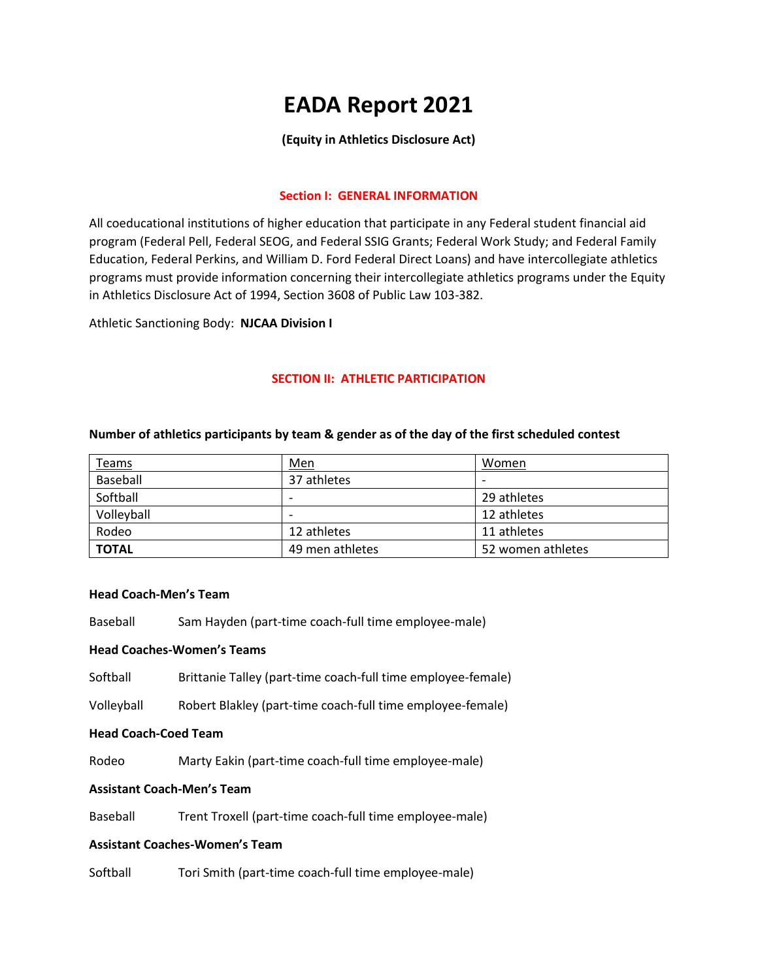# **EADA Report 2021**

# **(Equity in Athletics Disclosure Act)**

## **Section I: GENERAL INFORMATION**

All coeducational institutions of higher education that participate in any Federal student financial aid program (Federal Pell, Federal SEOG, and Federal SSIG Grants; Federal Work Study; and Federal Family Education, Federal Perkins, and William D. Ford Federal Direct Loans) and have intercollegiate athletics programs must provide information concerning their intercollegiate athletics programs under the Equity in Athletics Disclosure Act of 1994, Section 3608 of Public Law 103-382.

Athletic Sanctioning Body: **NJCAA Division I**

## **SECTION II: ATHLETIC PARTICIPATION**

| <b>Teams</b> | Men             | Women             |
|--------------|-----------------|-------------------|
| Baseball     | 37 athletes     |                   |
| Softball     |                 | 29 athletes       |
| Volleyball   | -               | 12 athletes       |
| Rodeo        | 12 athletes     | 11 athletes       |
| <b>TOTAL</b> | 49 men athletes | 52 women athletes |

#### **Number of athletics participants by team & gender as of the day of the first scheduled contest**

#### **Head Coach-Men's Team**

Baseball Sam Hayden (part-time coach-full time employee-male)

#### **Head Coaches-Women's Teams**

Softball Brittanie Talley (part-time coach-full time employee-female)

Volleyball Robert Blakley (part-time coach-full time employee-female)

#### **Head Coach-Coed Team**

Rodeo Marty Eakin (part-time coach-full time employee-male)

## **Assistant Coach-Men's Team**

Baseball Trent Troxell (part-time coach-full time employee-male)

# **Assistant Coaches-Women's Team**

Softball Tori Smith (part-time coach-full time employee-male)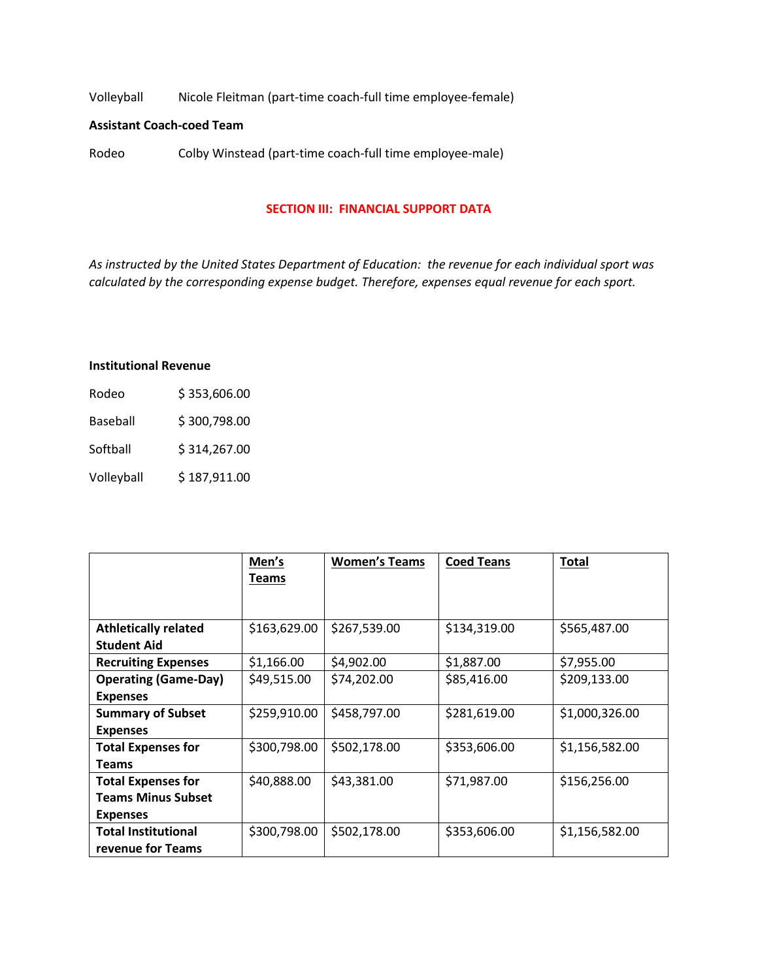Volleyball Nicole Fleitman (part-time coach-full time employee-female)

### **Assistant Coach-coed Team**

Rodeo Colby Winstead (part-time coach-full time employee-male)

#### **SECTION III: FINANCIAL SUPPORT DATA**

*As instructed by the United States Department of Education: the revenue for each individual sport was calculated by the corresponding expense budget. Therefore, expenses equal revenue for each sport.*

#### **Institutional Revenue**

| Rodeo           | \$353,606.00 |
|-----------------|--------------|
| <b>Baseball</b> | \$300,798.00 |
| Softball        | \$314,267.00 |
| Volleyball      | \$187,911.00 |

|                             | Men's        | <b>Women's Teams</b> | <b>Coed Teans</b> | <b>Total</b>   |
|-----------------------------|--------------|----------------------|-------------------|----------------|
|                             | <b>Teams</b> |                      |                   |                |
|                             |              |                      |                   |                |
| <b>Athletically related</b> | \$163,629.00 | \$267,539.00         | \$134,319.00      | \$565,487.00   |
| <b>Student Aid</b>          |              |                      |                   |                |
| <b>Recruiting Expenses</b>  | \$1,166.00   | \$4,902.00           | \$1,887.00        | \$7,955.00     |
| <b>Operating (Game-Day)</b> | \$49,515.00  | \$74,202.00          | \$85,416.00       | \$209,133.00   |
| <b>Expenses</b>             |              |                      |                   |                |
| <b>Summary of Subset</b>    | \$259,910.00 | \$458,797.00         | \$281,619.00      | \$1,000,326.00 |
| <b>Expenses</b>             |              |                      |                   |                |
| <b>Total Expenses for</b>   | \$300,798.00 | \$502,178.00         | \$353,606.00      | \$1,156,582.00 |
| <b>Teams</b>                |              |                      |                   |                |
| <b>Total Expenses for</b>   | \$40,888.00  | \$43,381.00          | \$71,987.00       | \$156,256.00   |
| <b>Teams Minus Subset</b>   |              |                      |                   |                |
| <b>Expenses</b>             |              |                      |                   |                |
| <b>Total Institutional</b>  | \$300,798.00 | \$502,178.00         | \$353,606.00      | \$1,156,582.00 |
| revenue for Teams           |              |                      |                   |                |